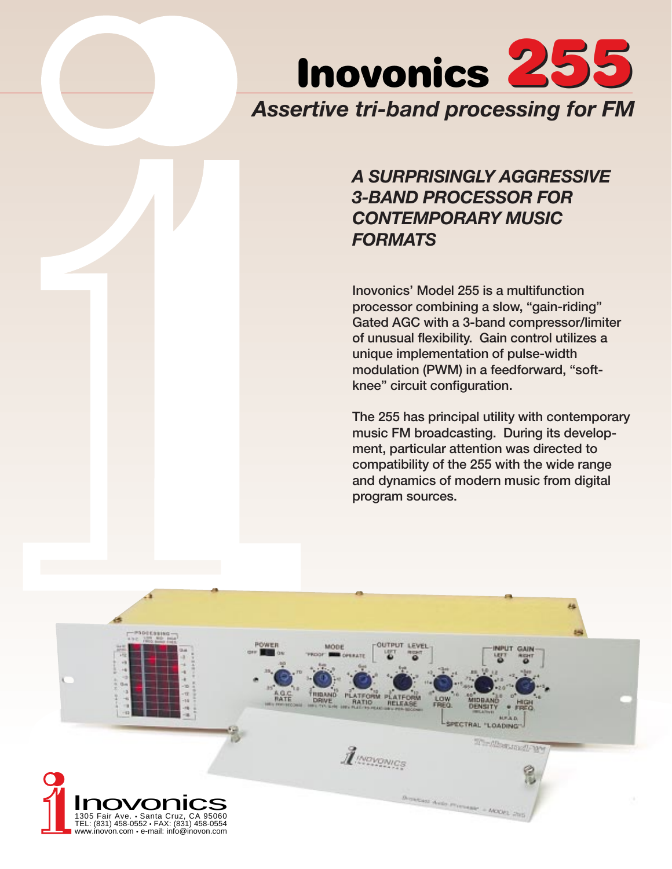

# *A SURPRISINGLY AGGRESSIVE 3-BAND PROCESSOR FOR CONTEMPORARY MUSIC FORMATS*

Inovonics' Model 255 is a multifunction processor combining a slow, "gain-riding" Gated AGC with a 3-band compressor/limiter of unusual flexibility. Gain control utilizes a unique implementation of pulse-width modulation (PWM) in a feedforward, "softknee" circuit configuration.

The 255 has principal utility with contemporary music FM broadcasting. During its development, particular attention was directed to compatibility of the 255 with the wide range and dynamics of modern music from digital program sources.